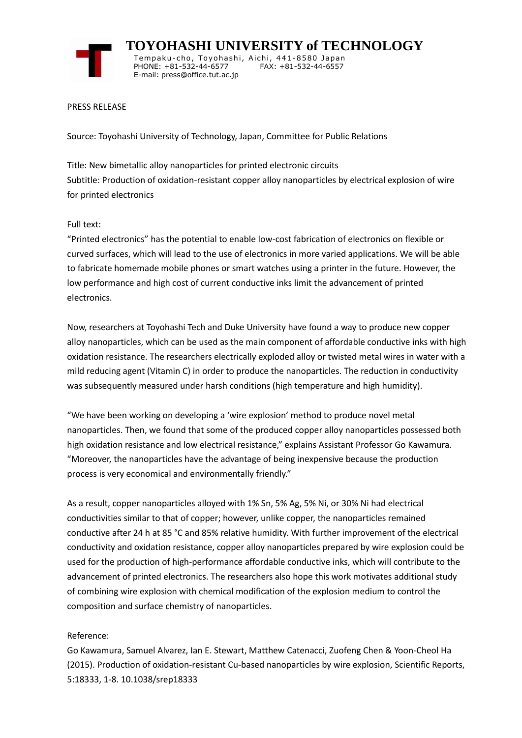

 **TOYOHASHI UNIVERSITY of TECHNOLOGY** Tempaku-cho, Toyohashi, Aichi, 441-8580 Japan<br>PHONE: +81-532-44-6577 FAX: +81-532-44-6557 PHONE: +81-532-44-6577 E-mail: press@office.tut.ac.jp

## PRESS RELEASE

Source: Toyohashi University of Technology, Japan, Committee for Public Relations

Title: New bimetallic alloy nanoparticles for printed electronic circuits Subtitle: Production of oxidation-resistant copper alloy nanoparticles by electrical explosion of wire for printed electronics

## Full text:

"Printed electronics" has the potential to enable low-cost fabrication of electronics on flexible or curved surfaces, which will lead to the use of electronics in more varied applications. We will be able to fabricate homemade mobile phones or smart watches using a printer in the future. However, the low performance and high cost of current conductive inks limit the advancement of printed electronics.

Now, researchers at Toyohashi Tech and Duke University have found a way to produce new copper alloy nanoparticles, which can be used as the main component of affordable conductive inks with high oxidation resistance. The researchers electrically exploded alloy or twisted metal wires in water with a mild reducing agent (Vitamin C) in order to produce the nanoparticles. The reduction in conductivity was subsequently measured under harsh conditions (high temperature and high humidity).

"We have been working on developing a 'wire explosion' method to produce novel metal nanoparticles. Then, we found that some of the produced copper alloy nanoparticles possessed both high oxidation resistance and low electrical resistance," explains Assistant Professor Go Kawamura. "Moreover, the nanoparticles have the advantage of being inexpensive because the production process is very economical and environmentally friendly."

As a result, copper nanoparticles alloyed with 1% Sn, 5% Ag, 5% Ni, or 30% Ni had electrical conductivities similar to that of copper; however, unlike copper, the nanoparticles remained conductive after 24 h at 85 °C and 85% relative humidity. With further improvement of the electrical conductivity and oxidation resistance, copper alloy nanoparticles prepared by wire explosion could be used for the production of high-performance affordable conductive inks, which will contribute to the advancement of printed electronics. The researchers also hope this work motivates additional study of combining wire explosion with chemical modification of the explosion medium to control the composition and surface chemistry of nanoparticles.

## Reference:

Go Kawamura, Samuel Alvarez, Ian E. Stewart, Matthew Catenacci, Zuofeng Chen & Yoon-Cheol Ha (2015). Production of oxidation-resistant Cu-based nanoparticles by wire explosion, Scientific Reports, 5:18333, 1-8. 10.1038/srep18333